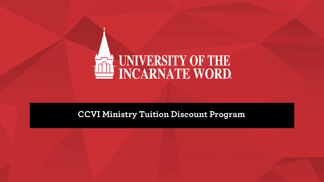# THE UNIVERSITY OF THE INCARNATE WORD.

**CCVI Ministry Tuition Discount Program**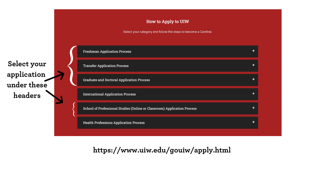### How to Apply to UIW

Select your category and follow the steps to become a Cardinal.

# **https://www.uiw.edu/gouiw/apply.html**



**Select your application under these headers**

|  |  | <b>Freshman Application Process</b> |  |
|--|--|-------------------------------------|--|
|  |  |                                     |  |

**Transfer Application Process** 

**Graduate and Doctoral Application Process** 

**International Application Process** 

School of Professional Studies (Online or Classroom) Application Process

**Health Professions Application Process**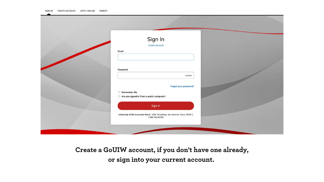| Sign In                                                                                        |
|------------------------------------------------------------------------------------------------|
| <b>Create Account</b>                                                                          |
|                                                                                                |
| Email                                                                                          |
|                                                                                                |
|                                                                                                |
| Password                                                                                       |
| SHOW                                                                                           |
|                                                                                                |
| Forgot your password?                                                                          |
|                                                                                                |
| $\Box$ Remember Me                                                                             |
| $\Box$ Are you signed in from a public computer?                                               |
| Sign In                                                                                        |
|                                                                                                |
| University of the Incarnate Word   4301 Broadway, San Antonio, Texas 78209  <br>1.800.749.WORD |

**Create a GoUIW account, if you don't have one already, or sign into your current account.**

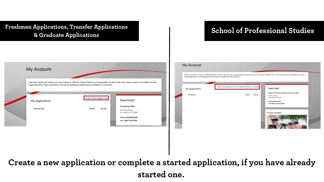**Create a new application or complete a started application, if you have already started one.**

### **Freshmen Applications, Transfer Applications** Applications, Fransier Applications<br>& Graduate Applications

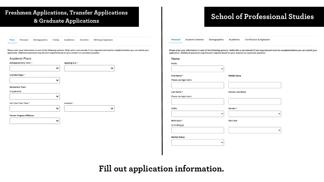# **Fill out application information.**

**Academic Interest** Demographics Academics **Certification & Signature** 

information in each of the following sections. Fields with a red asterisk (\*) are required and must be completed before you can submit your ional questions may become required based on your answers to a previous question.

| <b>Middle Name</b><br>$\overline{\phantom{a}}$ |  |
|------------------------------------------------|--|
|                                                |  |
| <b>Former Last Name</b>                        |  |
|                                                |  |
| Gender*                                        |  |
|                                                |  |
| <b>Shirt Size</b><br>٠                         |  |
|                                                |  |
|                                                |  |

### Freshmen Applications, Transfer Applications<br> **School of Professional Studies & Graduate Applications**

| <b>Plans</b>    | Personal                    | Demographics                                                                                        | Family       | Academics        | Activities | Writing & Signature                                                                                                                                           | Acader<br>Personal                                     |
|-----------------|-----------------------------|-----------------------------------------------------------------------------------------------------|--------------|------------------|------------|---------------------------------------------------------------------------------------------------------------------------------------------------------------|--------------------------------------------------------|
|                 |                             | application. Additional questions may become required based on your answers to a previous question. |              |                  |            | Please enter your information in each of the following sections. Fields with a red asterisk (*) are required and must be completed before you can submit your | Please enter your inform<br>application. Additional qu |
|                 | <b>Academic Plans</b>       |                                                                                                     |              |                  |            |                                                                                                                                                               | Name                                                   |
|                 | Anticipated Entry Term. *   |                                                                                                     |              | Applying as a: * |            |                                                                                                                                                               | Prefix                                                 |
|                 |                             |                                                                                                     | $\checkmark$ |                  |            | $\checkmark$                                                                                                                                                  |                                                        |
|                 | Intended Major: *           |                                                                                                     |              |                  |            |                                                                                                                                                               | First Name*                                            |
|                 |                             |                                                                                                     | $\checkmark$ |                  |            |                                                                                                                                                               | Please use legal name.                                 |
|                 | <b>Advisement Track</b>     |                                                                                                     |              |                  |            |                                                                                                                                                               |                                                        |
| (if applicable) |                             |                                                                                                     |              |                  |            |                                                                                                                                                               | Last Name*                                             |
|                 |                             |                                                                                                     | $\checkmark$ |                  |            |                                                                                                                                                               | Please use legal name.                                 |
|                 | Full Time / Part Time *     |                                                                                                     |              | Location *       |            |                                                                                                                                                               |                                                        |
|                 |                             |                                                                                                     | $\checkmark$ |                  |            | $\checkmark$                                                                                                                                                  | Suffix                                                 |
|                 | Partner Program Affiliation |                                                                                                     |              |                  |            |                                                                                                                                                               |                                                        |
|                 |                             |                                                                                                     | 丷            |                  |            |                                                                                                                                                               | Birth Date *                                           |
|                 |                             |                                                                                                     |              |                  |            |                                                                                                                                                               | (mm/dd/yyyy)                                           |

**Marital Status**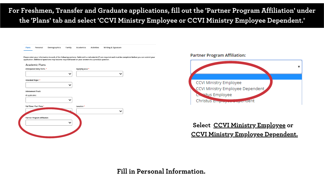# **For Freshmen, Transfer and Graduate applications, fill out the 'Partner Program Affiliation' under the 'Plans' tab and select 'CCVI Ministry Employee or CCVI Ministry Employee Dependent.'**

| Academic Plans                     | application. Additional questions may become required based on your answers to a previous question. |              |
|------------------------------------|-----------------------------------------------------------------------------------------------------|--------------|
| Anticipated Entry Term. *          | Applying as a: *                                                                                    |              |
|                                    | $\checkmark$<br>$\checkmark$                                                                        |              |
| Intended Major: *                  |                                                                                                     | CCVI         |
|                                    |                                                                                                     | CCVI         |
| <b>Advisement Track</b>            |                                                                                                     |              |
| (if applicable)                    |                                                                                                     |              |
|                                    | v                                                                                                   | Chris        |
| Full Time / Part Time *            | Location *                                                                                          |              |
|                                    | $\checkmark$                                                                                        |              |
| <b>Partner Program Affiliation</b> |                                                                                                     |              |
|                                    | $\checkmark$                                                                                        |              |
|                                    |                                                                                                     | Sele<br>COVI |
|                                    |                                                                                                     |              |

### **Fill in Personal Information.**





### **<u>CCVI Ministry Employee</u> or**  $\blacksquare$ <u>I Ministry Employee Dependent.</u>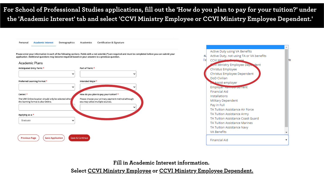**Fill in Academic Interest information.**

**Select CCVI Ministry Employee or CCVI Ministry Employee Dependent.**



### **For School of Professional Studies applications, fill out the 'How do you plan to pay for your tuition?' under the 'Academic Interest' tab and select 'CCVI Ministry Employee or CCVI Ministry Employee Dependent.'**

| Personal             | <b>Academic Interest</b>                                                                    | Demographics | Academics                  | <b>Certification &amp; Signature</b>                                                                                                                                                                                                                                 |  |
|----------------------|---------------------------------------------------------------------------------------------|--------------|----------------------------|----------------------------------------------------------------------------------------------------------------------------------------------------------------------------------------------------------------------------------------------------------------------|--|
|                      | <b>Academic Plans</b>                                                                       |              |                            | Please enter your information in each of the following sections. Fields with a red asterisk (*) are required and must be completed before you can submit your<br>application. Additional questions may become required based on your answers to a previous question. |  |
|                      | Anticipated Entry Term: *                                                                   |              | Part of Term: *            |                                                                                                                                                                                                                                                                      |  |
|                      |                                                                                             | 丷            |                            |                                                                                                                                                                                                                                                                      |  |
|                      | Preferred Learning Format*                                                                  | 丷            | Intended Major *           | 丷                                                                                                                                                                                                                                                                    |  |
| Center: *            | The UIW Online location should only be selected when<br>the learning format is also Online. |              |                            | How do you plan to pay your tuition? *<br>Please choose your primary payment method although<br>you may utilize multiple sources.<br>◡                                                                                                                               |  |
| Applying as a: *     |                                                                                             |              |                            |                                                                                                                                                                                                                                                                      |  |
| Graduate             |                                                                                             | ✓            |                            |                                                                                                                                                                                                                                                                      |  |
| <b>Previous Page</b> | <b>Save Application</b>                                                                     |              | <b>Save &amp; Continue</b> |                                                                                                                                                                                                                                                                      |  |